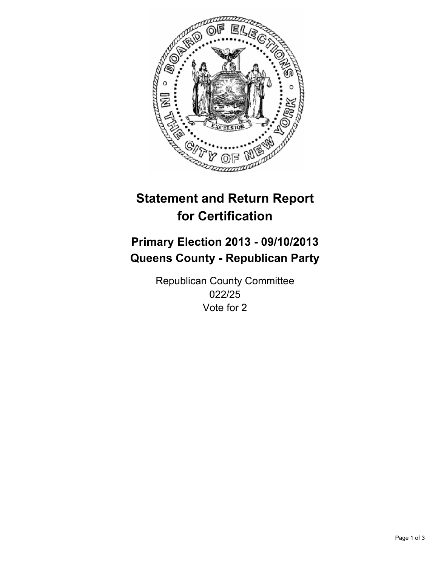

# **Statement and Return Report for Certification**

# **Primary Election 2013 - 09/10/2013 Queens County - Republican Party**

Republican County Committee 022/25 Vote for 2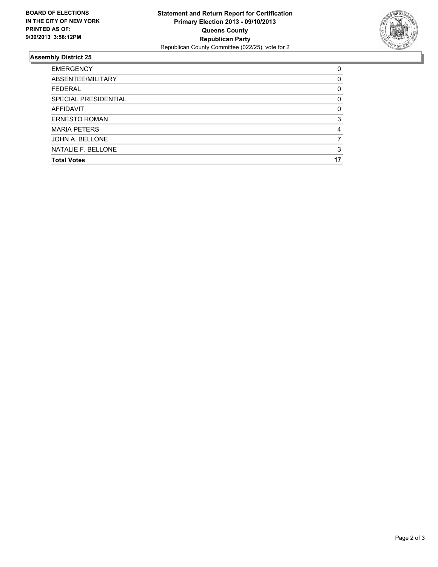

## **Assembly District 25**

| <b>Total Votes</b>   | 17 |
|----------------------|----|
| NATALIE F. BELLONE   | 3  |
| JOHN A. BELLONE      |    |
| <b>MARIA PETERS</b>  | 4  |
| <b>ERNESTO ROMAN</b> | 3  |
| <b>AFFIDAVIT</b>     | 0  |
| SPECIAL PRESIDENTIAL | 0  |
| <b>FEDERAL</b>       | 0  |
| ABSENTEE/MILITARY    | 0  |
| <b>EMERGENCY</b>     | 0  |